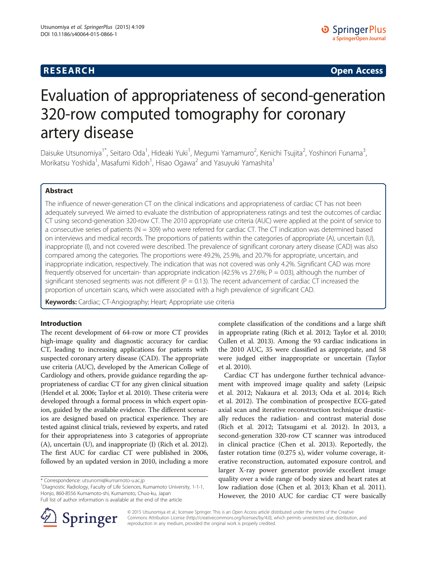# **RESEARCH CHE Open Access**

# Evaluation of appropriateness of second-generation 320-row computed tomography for coronary artery disease

Daisuke Utsunomiya<sup>1\*</sup>, Seitaro Oda<sup>1</sup>, Hideaki Yuki<sup>1</sup>, Megumi Yamamuro<sup>2</sup>, Kenichi Tsujita<sup>2</sup>, Yoshinori Funama<sup>3</sup> , Morikatsu Yoshida<sup>1</sup>, Masafumi Kidoh<sup>1</sup>, Hisao Ogawa<sup>2</sup> and Yasuyuki Yamashita<sup>1</sup>

# Abstract

The influence of newer-generation CT on the clinical indications and appropriateness of cardiac CT has not been adequately surveyed. We aimed to evaluate the distribution of appropriateness ratings and test the outcomes of cardiac CT using second-generation 320-row CT. The 2010 appropriate use criteria (AUC) were applied at the point of service to a consecutive series of patients (N = 309) who were referred for cardiac CT. The CT indication was determined based on interviews and medical records. The proportions of patients within the categories of appropriate (A), uncertain (U), inappropriate (I), and not covered were described. The prevalence of significant coronary artery disease (CAD) was also compared among the categories. The proportions were 49.2%, 25.9%, and 20.7% for appropriate, uncertain, and inappropriate indication, respectively. The indication that was not covered was only 4.2%. Significant CAD was more frequently observed for uncertain- than appropriate indication (42.5% vs 27.6%;  $P = 0.03$ ), although the number of significant stenosed segments was not different ( $P = 0.13$ ). The recent advancement of cardiac CT increased the proportion of uncertain scans, which were associated with a high prevalence of significant CAD.

Keywords: Cardiac; CT-Angiography; Heart; Appropriate use criteria

### Introduction

The recent development of 64-row or more CT provides high-image quality and diagnostic accuracy for cardiac CT, leading to increasing applications for patients with suspected coronary artery disease (CAD). The appropriate use criteria (AUC), developed by the American College of Cardiology and others, provide guidance regarding the appropriateness of cardiac CT for any given clinical situation (Hendel et al. [2006](#page-5-0); Taylor et al. [2010](#page-5-0)). These criteria were developed through a formal process in which expert opinion, guided by the available evidence. The different scenarios are designed based on practical experience. They are tested against clinical trials, reviewed by experts, and rated for their appropriateness into 3 categories of appropriate (A), uncertain (U), and inappropriate (I) (Rich et al. [2012](#page-5-0)). The first AUC for cardiac CT were published in 2006, followed by an updated version in 2010, including a more

<sup>1</sup>Diagnostic Radiology, Faculty of Life Sciences, Kumamoto University, 1-1-1, Honjo, 860-8556 Kumamoto-shi, Kumamoto, Chuo-ku, Japan Full list of author information is available at the end of the article

Cardiac CT has undergone further technical advancement with improved image quality and safety (Leipsic et al. [2012;](#page-5-0) Nakaura et al. [2013](#page-5-0); Oda et al. [2014;](#page-5-0) Rich et al. [2012](#page-5-0)). The combination of prospective ECG-gated axial scan and iterative reconstruction technique drastically reduces the radiation- and contrast material dose (Rich et al. [2012](#page-5-0); Tatsugami et al. [2012\)](#page-5-0). In 2013, a second-generation 320-row CT scanner was introduced in clinical practice (Chen et al. [2013](#page-5-0)). Reportedly, the faster rotation time (0.275 s), wider volume coverage, iterative reconstruction, automated exposure control, and larger X-ray power generator provide excellent image quality over a wide range of body sizes and heart rates at low radiation dose (Chen et al. [2013](#page-5-0); Khan et al. [2011](#page-5-0)). However, the 2010 AUC for cardiac CT were basically



© 2015 Utsunomiya et al.; licensee Springer. This is an Open Access article distributed under the terms of the Creative Commons Attribution License (<http://creativecommons.org/licenses/by/4.0>), which permits unrestricted use, distribution, and reproduction in any medium, provided the original work is properly credited.

<sup>\*</sup> Correspondence: [utsunomi@kumamoto-u.ac.jp](mailto:utsunomi@kumamoto-u.ac.jp) <sup>1</sup>

complete classification of the conditions and a large shift in appropriate rating (Rich et al. [2012;](#page-5-0) Taylor et al. [2010](#page-5-0); Cullen et al. [2013](#page-5-0)). Among the 93 cardiac indications in the 2010 AUC, 35 were classified as appropriate, and 58 were judged either inappropriate or uncertain (Taylor et al. [2010](#page-5-0)).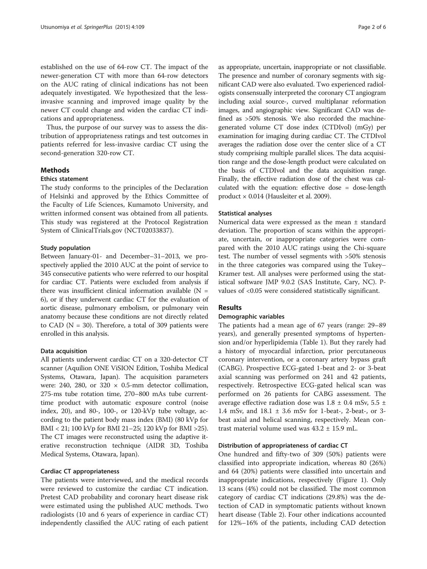established on the use of 64-row CT. The impact of the newer-generation CT with more than 64-row detectors on the AUC rating of clinical indications has not been adequately investigated. We hypothesized that the lessinvasive scanning and improved image quality by the newer CT could change and widen the cardiac CT indications and appropriateness.

Thus, the purpose of our survey was to assess the distribution of appropriateness ratings and test outcomes in patients referred for less-invasive cardiac CT using the second-generation 320-row CT.

#### Methods

# Ethics statement

The study conforms to the principles of the Declaration of Helsinki and approved by the Ethics Committee of the Faculty of Life Sciences, Kumamoto University, and written informed consent was obtained from all patients. This study was registered at the Protocol Registration System of ClinicalTrials.gov (NCT02033837).

#### Study population

Between January-01- and December–31–2013, we prospectively applied the 2010 AUC at the point of service to 345 consecutive patients who were referred to our hospital for cardiac CT. Patients were excluded from analysis if there was insufficient clinical information available  $(N =$ 6), or if they underwent cardiac CT for the evaluation of aortic disease, pulmonary embolism, or pulmonary vein anatomy because these conditions are not directly related to CAD ( $N = 30$ ). Therefore, a total of 309 patients were enrolled in this analysis.

#### Data acquisition

All patients underwent cardiac CT on a 320-detector CT scanner (Aquilion ONE ViSION Edition, Toshiba Medical Systems, Otawara, Japan). The acquisition parameters were: 240, 280, or 320  $\times$  0.5-mm detector collimation, 275-ms tube rotation time, 270–800 mAs tube currenttime product with automatic exposure control (noise index, 20), and 80-, 100-, or 120-kVp tube voltage, according to the patient body mass index (BMI) (80 kVp for BMI < 21; 100 kVp for BMI 21–25; 120 kVp for BMI >25). The CT images were reconstructed using the adaptive iterative reconstruction technique (AIDR 3D, Toshiba Medical Systems, Otawara, Japan).

#### Cardiac CT appropriateness

The patients were interviewed, and the medical records were reviewed to customize the cardiac CT indication. Pretest CAD probability and coronary heart disease risk were estimated using the published AUC methods. Two radiologists (10 and 6 years of experience in cardiac CT) independently classified the AUC rating of each patient

as appropriate, uncertain, inappropriate or not classifiable. The presence and number of coronary segments with significant CAD were also evaluated. Two experienced radiologists consensually interpreted the coronary CT angiogram including axial source-, curved multiplanar reformation images, and angiographic view. Significant CAD was defined as >50% stenosis. We also recorded the machinegenerated volume CT dose index (CTDIvol) (mGy) per examination for imaging during cardiac CT. The CTDIvol averages the radiation dose over the center slice of a CT study comprising multiple parallel slices. The data acquisition range and the dose-length product were calculated on the basis of CTDIvol and the data acquisition range. Finally, the effective radiation dose of the chest was calculated with the equation: effective dose = dose-length product × 0.014 (Hausleiter et al. [2009\)](#page-5-0).

#### Statistical analyses

Numerical data were expressed as the mean ± standard deviation. The proportion of scans within the appropriate, uncertain, or inappropriate categories were compared with the 2010 AUC ratings using the Chi-square test. The number of vessel segments with >50% stenosis in the three categories was compared using the Tukey– Kramer test. All analyses were performed using the statistical software JMP 9.0.2 (SAS Institute, Cary, NC). Pvalues of <0.05 were considered statistically significant.

#### Results

#### Demographic variables

The patients had a mean age of 67 years (range: 29–89 years), and generally presented symptoms of hypertension and/or hyperlipidemia (Table [1\)](#page-2-0). But they rarely had a history of myocardial infarction, prior percutaneous coronary intervention, or a coronary artery bypass graft (CABG). Prospective ECG-gated 1-beat and 2- or 3-beat axial scanning was performed on 241 and 42 patients, respectively. Retrospective ECG-gated helical scan was performed on 26 patients for CABG assessment. The average effective radiation dose was  $1.8 \pm 0.4$  mSv,  $5.5 \pm 1.5$ 1.4 mSv, and 18.1 ± 3.6 mSv for 1-beat-, 2-beat-, or 3 beat axial and helical scanning, respectively. Mean contrast material volume used was 43.2 ± 15.9 mL.

#### Distribution of appropriateness of cardiac CT

One hundred and fifty-two of 309 (50%) patients were classified into appropriate indication, whereas 80 (26%) and 64 (20%) patients were classified into uncertain and inappropriate indications, respectively (Figure [1](#page-2-0)). Only 13 scans (4%) could not be classified. The most common category of cardiac CT indications (29.8%) was the detection of CAD in symptomatic patients without known heart disease (Table [2\)](#page-3-0). Four other indications accounted for 12%–16% of the patients, including CAD detection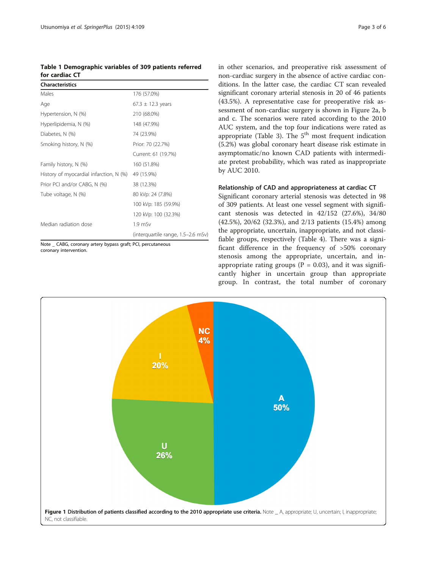<span id="page-2-0"></span>Table 1 Demographic variables of 309 patients referred for cardiac CT

| <b>Characteristics</b>                  |                                    |  |
|-----------------------------------------|------------------------------------|--|
| Males                                   | 176 (57.0%)                        |  |
| Age                                     | $67.3 \pm 12.3$ years              |  |
| Hypertension, N (%)                     | 210 (68.0%)                        |  |
| Hyperlipidemia, N (%)                   | 148 (47.9%)                        |  |
| Diabetes, N (%)                         | 74 (23.9%)                         |  |
| Smoking history, N (%)                  | Prior: 70 (22.7%)                  |  |
|                                         | Current: 61 (19.7%)                |  |
| Family history, N (%)                   | 160 (51.8%)                        |  |
| History of myocardial infarction, N (%) | 49 (15.9%)                         |  |
| Prior PCI and/or CABG, N (%)            | 38 (12.3%)                         |  |
| Tube voltage, N (%)                     | 80 kVp: 24 (7.8%)                  |  |
|                                         | 100 kVp: 185 (59.9%)               |  |
|                                         | 120 kVp: 100 (32.3%)               |  |
| Median radiation dose                   | $1.9$ mSv                          |  |
|                                         | (interquartile range, 1.5–2.6 mSv) |  |
|                                         |                                    |  |

Note \_ CABG, coronary artery bypass graft; PCI, percutaneous coronary intervention.

in other scenarios, and preoperative risk assessment of non-cardiac surgery in the absence of active cardiac conditions. In the latter case, the cardiac CT scan revealed significant coronary arterial stenosis in 20 of 46 patients (43.5%). A representative case for preoperative risk assessment of non-cardiac surgery is shown in Figure [2a](#page-3-0), b and c. The scenarios were rated according to the 2010 AUC system, and the top four indications were rated as appropriate (Table [3](#page-3-0)). The  $5<sup>th</sup>$  most frequent indication (5.2%) was global coronary heart disease risk estimate in asymptomatic/no known CAD patients with intermediate pretest probability, which was rated as inappropriate by AUC 2010.

#### Relationship of CAD and appropriateness at cardiac CT

Significant coronary arterial stenosis was detected in 98 of 309 patients. At least one vessel segment with significant stenosis was detected in 42/152 (27.6%), 34/80 (42.5%), 20/62 (32.3%), and 2/13 patients (15.4%) among the appropriate, uncertain, inappropriate, and not classifiable groups, respectively (Table [4\)](#page-4-0). There was a significant difference in the frequency of >50% coronary stenosis among the appropriate, uncertain, and inappropriate rating groups ( $P = 0.03$ ), and it was significantly higher in uncertain group than appropriate group. In contrast, the total number of coronary

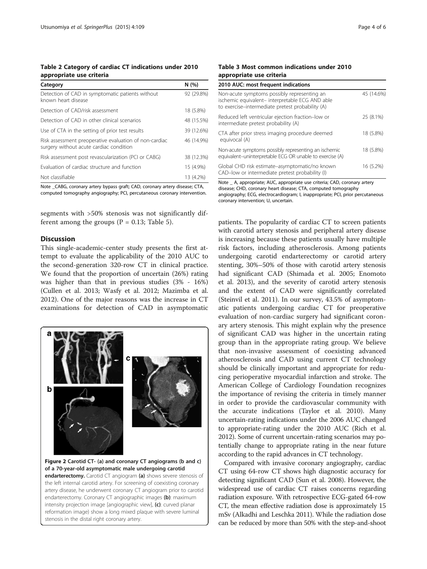#### <span id="page-3-0"></span>Table 2 Category of cardiac CT indications under 2010 appropriate use criteria

| Category                                                                                          | N(%)       |  |
|---------------------------------------------------------------------------------------------------|------------|--|
| Detection of CAD in symptomatic patients without<br>known heart disease                           | 92 (29.8%) |  |
| Detection of CAD/risk assessment                                                                  | 18 (5.8%)  |  |
| Detection of CAD in other clinical scenarios                                                      | 48 (15.5%) |  |
| Use of CTA in the setting of prior test results                                                   | 39 (12.6%) |  |
| Risk assessment preoperative evaluation of non-cardiac<br>surgery without acute cardiac condition | 46 (14.9%) |  |
| Risk assessment post revascularization (PCI or CABG)                                              | 38 (12.3%) |  |
| Evaluation of cardiac structure and function                                                      | 15 (4.9%)  |  |
| Not classifiable                                                                                  | 13 (4.2%)  |  |

Note \_CABG, coronary artery bypass graft; CAD, coronary artery disease; CTA, computed tomography angiography; PCI, percutaneous coronary intervention.

segments with >50% stenosis was not significantly different among the groups ( $P = 0.13$ ; Table [5](#page-4-0)).

#### **Discussion**

This single-academic-center study presents the first attempt to evaluate the applicability of the 2010 AUC to the second-generation 320-row CT in clinical practice. We found that the proportion of uncertain (26%) rating was higher than that in previous studies (3% - 16%) (Cullen et al. [2013](#page-5-0); Wasfy et al. [2012;](#page-5-0) Mazimba et al. [2012](#page-5-0)). One of the major reasons was the increase in CT examinations for detection of CAD in asymptomatic



Figure 2 Carotid CT- (a) and coronary CT angiograms (b and c) of a 70-year-old asymptomatic male undergoing carotid endarterectomy. Carotid CT angiogram (a) shows severe stenosis of the left internal carotid artery. For screening of coexisting coronary artery disease, he underwent coronary CT angiogram prior to carotid endarterectomy. Coronary CT angiographic images (b): maximum intensity projection image [angiographic view], (c): curved planar reformation image) show a long mixed plaque with severe luminal stenosis in the distal right coronary artery.

#### Table 3 Most common indications under 2010 appropriate use criteria

| 2010 AUC: most frequent indications                                                                                                                |            |  |  |
|----------------------------------------------------------------------------------------------------------------------------------------------------|------------|--|--|
| Non-acute symptoms possibly representing an<br>ischemic equivalent- interpretable ECG AND able<br>to exercise-intermediate pretest probability (A) | 45 (14.6%) |  |  |
| Reduced left ventricular ejection fraction-low or<br>intermediate pretest probability (A)                                                          | 25 (8.1%)  |  |  |
| CTA after prior stress imaging procedure deemed<br>equivocal (A)                                                                                   | 18 (5.8%)  |  |  |
| Non-acute symptoms possibly representing an ischemic<br>equivalent-uninterpretable ECG OR unable to exercise (A)                                   | 18 (5.8%)  |  |  |
| Global CHD risk estimate-asymptomatic/no known<br>CAD-low or intermediate pretest probability (I)                                                  | 16 (5.2%)  |  |  |

Note \_ A, appropriate; AUC, appropriate use criteria; CAD, coronary artery

disease; CHD, coronary heart disease; CTA, computed tomography angiography; ECG, electrocardiogram; I, inappropriate; PCI, prior percutaneous coronary intervention; U, uncertain.

patients. The popularity of cardiac CT to screen patients with carotid artery stenosis and peripheral artery disease is increasing because these patients usually have multiple risk factors, including atherosclerosis. Among patients undergoing carotid endarterectomy or carotid artery stenting, 30%–50% of those with carotid artery stenosis had significant CAD (Shimada et al. [2005;](#page-5-0) Enomoto et al. [2013](#page-5-0)), and the severity of carotid artery stenosis and the extent of CAD were significantly correlated (Steinvil et al. [2011](#page-5-0)). In our survey, 43.5% of asymptomatic patients undergoing cardiac CT for preoperative evaluation of non-cardiac surgery had significant coronary artery stenosis. This might explain why the presence of significant CAD was higher in the uncertain rating group than in the appropriate rating group. We believe that non-invasive assessment of coexisting advanced atherosclerosis and CAD using current CT technology should be clinically important and appropriate for reducing perioperative myocardial infarction and stroke. The American College of Cardiology Foundation recognizes the importance of revising the criteria in timely manner in order to provide the cardiovascular community with the accurate indications (Taylor et al. [2010](#page-5-0)). Many uncertain-rating indications under the 2006 AUC changed to appropriate-rating under the 2010 AUC (Rich et al. [2012](#page-5-0)). Some of current uncertain-rating scenarios may potentially change to appropriate rating in the near future according to the rapid advances in CT technology.

Compared with invasive coronary angiography, cardiac CT using 64-row CT shows high diagnostic accuracy for detecting significant CAD (Sun et al. [2008\)](#page-5-0). However, the widespread use of cardiac CT raises concerns regarding radiation exposure. With retrospective ECG-gated 64-row CT, the mean effective radiation dose is approximately 15 mSv (Alkadhi and Leschka [2011\)](#page-5-0). While the radiation dose can be reduced by more than 50% with the step-and-shoot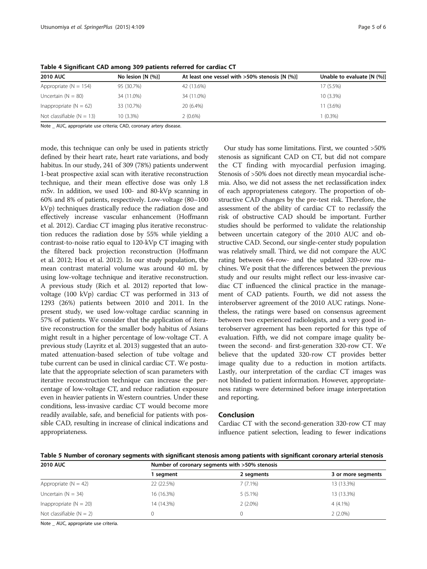| <b>2010 AUC</b>             | No lesion $[N (%)]$ | At least one vessel with >50% stenosis [N (%)] | Unable to evaluate [N (%)] |
|-----------------------------|---------------------|------------------------------------------------|----------------------------|
| Appropriate ( $N = 154$ )   | 95 (30.7%)          | 42 (13.6%)                                     | 17 (5.5%)                  |
| Uncertain $(N = 80)$        | 34 (11.0%)          | 34 (11.0%)                                     | 10 (3.3%)                  |
| Inappropriate $(N = 62)$    | 33 (10.7%)          | 20 (6.4%)                                      | 11 (3.6%)                  |
| Not classifiable $(N = 13)$ | $10(3.3\%)$         | $2(0.6\%)$                                     | $(0.3\%)$                  |

<span id="page-4-0"></span>Table 4 Significant CAD among 309 patients referred for cardiac CT

Note \_ AUC, appropriate use criteria; CAD, coronary artery disease.

mode, this technique can only be used in patients strictly defined by their heart rate, heart rate variations, and body habitus. In our study, 241 of 309 (78%) patients underwent 1-beat prospective axial scan with iterative reconstruction technique, and their mean effective dose was only 1.8 mSv. In addition, we used 100- and 80-kVp scanning in 60% and 8% of patients, respectively. Low-voltage (80–100 kVp) techniques drastically reduce the radiation dose and effectively increase vascular enhancement (Hoffmann et al. [2012\)](#page-5-0). Cardiac CT imaging plus iterative reconstruction reduces the radiation dose by 55% while yielding a contrast-to-noise ratio equal to 120-kVp CT imaging with the filtered back projection reconstruction (Hoffmann et al. [2012;](#page-5-0) Hou et al. [2012](#page-5-0)). In our study population, the mean contrast material volume was around 40 mL by using low-voltage technique and iterative reconstruction. A previous study (Rich et al. [2012](#page-5-0)) reported that lowvoltage (100 kVp) cardiac CT was performed in 313 of 1293 (26%) patients between 2010 and 2011. In the present study, we used low-voltage cardiac scanning in 57% of patients. We consider that the application of iterative reconstruction for the smaller body habitus of Asians might result in a higher percentage of low-voltage CT. A previous study (Layritz et al. [2013\)](#page-5-0) suggested that an automated attenuation-based selection of tube voltage and tube current can be used in clinical cardiac CT. We postulate that the appropriate selection of scan parameters with iterative reconstruction technique can increase the percentage of low-voltage CT, and reduce radiation exposure even in heavier patients in Western countries. Under these conditions, less-invasive cardiac CT would become more readily available, safe, and beneficial for patients with possible CAD, resulting in increase of clinical indications and appropriateness.

Our study has some limitations. First, we counted >50% stenosis as significant CAD on CT, but did not compare the CT finding with myocardial perfusion imaging. Stenosis of >50% does not directly mean myocardial ischemia. Also, we did not assess the net reclassification index of each appropriateness category. The proportion of obstructive CAD changes by the pre-test risk. Therefore, the assessment of the ability of cardiac CT to reclassify the risk of obstructive CAD should be important. Further studies should be performed to validate the relationship between uncertain category of the 2010 AUC and obstructive CAD. Second, our single-center study population was relatively small. Third, we did not compare the AUC rating between 64-row- and the updated 320-row machines. We posit that the differences between the previous study and our results might reflect our less-invasive cardiac CT influenced the clinical practice in the management of CAD patients. Fourth, we did not assess the interobserver agreement of the 2010 AUC ratings. Nonetheless, the ratings were based on consensus agreement between two experienced radiologists, and a very good interobserver agreement has been reported for this type of evaluation. Fifth, we did not compare image quality between the second- and first-generation 320-row CT. We believe that the updated 320-row CT provides better image quality due to a reduction in motion artifacts. Lastly, our interpretation of the cardiac CT images was not blinded to patient information. However, appropriateness ratings were determined before image interpretation and reporting.

## Conclusion

Cardiac CT with the second-generation 320-row CT may influence patient selection, leading to fewer indications

Table 5 Number of coronary segments with significant stenosis among patients with significant coronary arterial stenosis

| <b>2010 AUC</b>                            | Number of coronary segments with >50% stenosis |            |                    |  |
|--------------------------------------------|------------------------------------------------|------------|--------------------|--|
|                                            | segment                                        | 2 segments | 3 or more segments |  |
| Appropriate ( $N = 42$ )                   | 22 (22.5%)                                     | $7(7.1\%)$ | 13 (13.3%)         |  |
| Uncertain $(N = 34)$                       | 16 (16.3%)                                     | $5(5.1\%)$ | 13 (13.3%)         |  |
| Inappropriate $(N = 20)$                   | 14 (14.3%)                                     | $2(2.0\%)$ | $4(4.1\%)$         |  |
| Not classifiable $(N = 2)$                 |                                                |            | $2(2.0\%)$         |  |
| $\mathbf{r}$ , and the set of $\mathbf{r}$ |                                                |            |                    |  |

Note \_ AUC, appropriate use criteria.